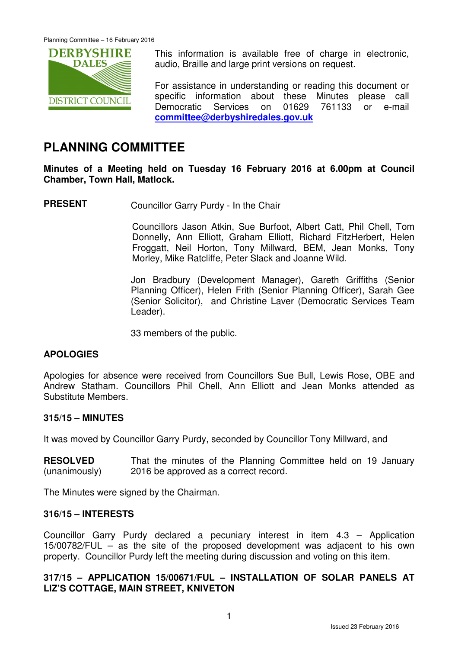

This information is available free of charge in electronic, audio, Braille and large print versions on request.

For assistance in understanding or reading this document or specific information about these Minutes please call Democratic Services on 01629 761133 or e-mail **committee@derbyshiredales.gov.uk**

# **PLANNING COMMITTEE**

**Minutes of a Meeting held on Tuesday 16 February 2016 at 6.00pm at Council Chamber, Town Hall, Matlock.** 

**PRESENT** Councillor Garry Purdy - In the Chair

 Councillors Jason Atkin, Sue Burfoot, Albert Catt, Phil Chell, Tom Donnelly, Ann Elliott, Graham Elliott, Richard FitzHerbert, Helen Froggatt, Neil Horton, Tony Millward, BEM, Jean Monks, Tony Morley, Mike Ratcliffe, Peter Slack and Joanne Wild.

Jon Bradbury (Development Manager), Gareth Griffiths (Senior Planning Officer), Helen Frith (Senior Planning Officer), Sarah Gee (Senior Solicitor), and Christine Laver (Democratic Services Team Leader).

33 members of the public.

# **APOLOGIES**

Apologies for absence were received from Councillors Sue Bull, Lewis Rose, OBE and Andrew Statham. Councillors Phil Chell, Ann Elliott and Jean Monks attended as Substitute Members.

# **315/15 – MINUTES**

It was moved by Councillor Garry Purdy, seconded by Councillor Tony Millward, and

**RESOLVED** (unanimously) That the minutes of the Planning Committee held on 19 January 2016 be approved as a correct record.

The Minutes were signed by the Chairman.

# **316/15 – INTERESTS**

Councillor Garry Purdy declared a pecuniary interest in item 4.3 – Application 15/00782/FUL – as the site of the proposed development was adjacent to his own property. Councillor Purdy left the meeting during discussion and voting on this item.

# **317/15 – APPLICATION 15/00671/FUL – INSTALLATION OF SOLAR PANELS AT LIZ'S COTTAGE, MAIN STREET, KNIVETON**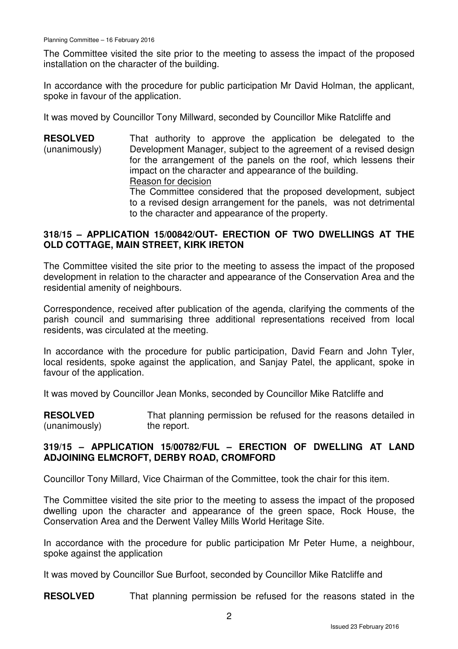The Committee visited the site prior to the meeting to assess the impact of the proposed installation on the character of the building.

In accordance with the procedure for public participation Mr David Holman, the applicant, spoke in favour of the application.

It was moved by Councillor Tony Millward, seconded by Councillor Mike Ratcliffe and

**RESOLVED** (unanimously) That authority to approve the application be delegated to the Development Manager, subject to the agreement of a revised design for the arrangement of the panels on the roof, which lessens their impact on the character and appearance of the building. Reason for decision The Committee considered that the proposed development, subject to a revised design arrangement for the panels, was not detrimental to the character and appearance of the property.

# **318/15 – APPLICATION 15/00842/OUT- ERECTION OF TWO DWELLINGS AT THE OLD COTTAGE, MAIN STREET, KIRK IRETON**

The Committee visited the site prior to the meeting to assess the impact of the proposed development in relation to the character and appearance of the Conservation Area and the residential amenity of neighbours.

Correspondence, received after publication of the agenda, clarifying the comments of the parish council and summarising three additional representations received from local residents, was circulated at the meeting.

In accordance with the procedure for public participation, David Fearn and John Tyler, local residents, spoke against the application, and Sanjay Patel, the applicant, spoke in favour of the application.

It was moved by Councillor Jean Monks, seconded by Councillor Mike Ratcliffe and

**RESOLVED** (unanimously) That planning permission be refused for the reasons detailed in the report.

# **319/15 – APPLICATION 15/00782/FUL – ERECTION OF DWELLING AT LAND ADJOINING ELMCROFT, DERBY ROAD, CROMFORD**

Councillor Tony Millard, Vice Chairman of the Committee, took the chair for this item.

The Committee visited the site prior to the meeting to assess the impact of the proposed dwelling upon the character and appearance of the green space, Rock House, the Conservation Area and the Derwent Valley Mills World Heritage Site.

In accordance with the procedure for public participation Mr Peter Hume, a neighbour, spoke against the application

It was moved by Councillor Sue Burfoot, seconded by Councillor Mike Ratcliffe and

**RESOLVED** That planning permission be refused for the reasons stated in the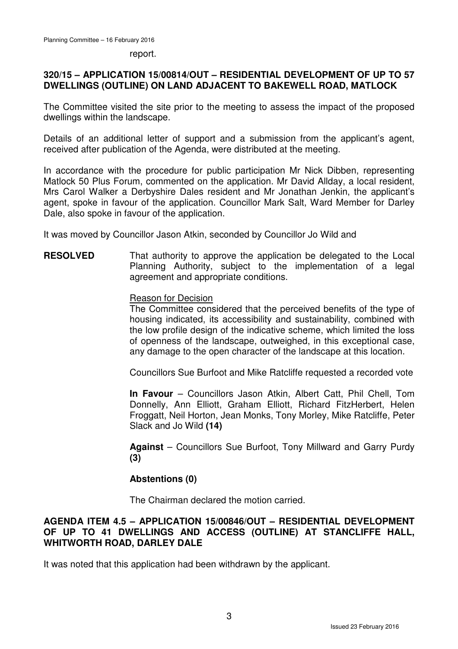#### report.

# **320/15 – APPLICATION 15/00814/OUT – RESIDENTIAL DEVELOPMENT OF UP TO 57 DWELLINGS (OUTLINE) ON LAND ADJACENT TO BAKEWELL ROAD, MATLOCK**

The Committee visited the site prior to the meeting to assess the impact of the proposed dwellings within the landscape.

Details of an additional letter of support and a submission from the applicant's agent, received after publication of the Agenda, were distributed at the meeting.

In accordance with the procedure for public participation Mr Nick Dibben, representing Matlock 50 Plus Forum, commented on the application. Mr David Allday, a local resident, Mrs Carol Walker a Derbyshire Dales resident and Mr Jonathan Jenkin, the applicant's agent, spoke in favour of the application. Councillor Mark Salt, Ward Member for Darley Dale, also spoke in favour of the application.

It was moved by Councillor Jason Atkin, seconded by Councillor Jo Wild and

**RESOLVED** That authority to approve the application be delegated to the Local Planning Authority, subject to the implementation of a legal agreement and appropriate conditions.

### Reason for Decision

The Committee considered that the perceived benefits of the type of housing indicated, its accessibility and sustainability, combined with the low profile design of the indicative scheme, which limited the loss of openness of the landscape, outweighed, in this exceptional case, any damage to the open character of the landscape at this location.

Councillors Sue Burfoot and Mike Ratcliffe requested a recorded vote

**In Favour** – Councillors Jason Atkin, Albert Catt, Phil Chell, Tom Donnelly, Ann Elliott, Graham Elliott, Richard FitzHerbert, Helen Froggatt, Neil Horton, Jean Monks, Tony Morley, Mike Ratcliffe, Peter Slack and Jo Wild **(14)**

**Against** – Councillors Sue Burfoot, Tony Millward and Garry Purdy **(3)**

# **Abstentions (0)**

The Chairman declared the motion carried.

# **AGENDA ITEM 4.5 – APPLICATION 15/00846/OUT – RESIDENTIAL DEVELOPMENT OF UP TO 41 DWELLINGS AND ACCESS (OUTLINE) AT STANCLIFFE HALL, WHITWORTH ROAD, DARLEY DALE**

It was noted that this application had been withdrawn by the applicant.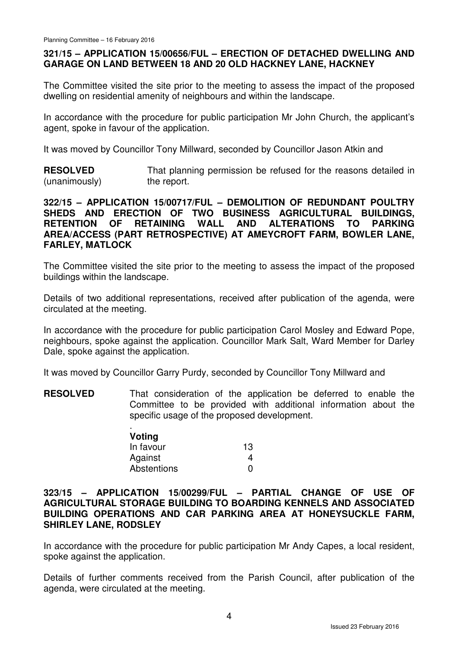# **321/15 – APPLICATION 15/00656/FUL – ERECTION OF DETACHED DWELLING AND GARAGE ON LAND BETWEEN 18 AND 20 OLD HACKNEY LANE, HACKNEY**

The Committee visited the site prior to the meeting to assess the impact of the proposed dwelling on residential amenity of neighbours and within the landscape.

In accordance with the procedure for public participation Mr John Church, the applicant's agent, spoke in favour of the application.

It was moved by Councillor Tony Millward, seconded by Councillor Jason Atkin and

**RESOLVED** (unanimously) That planning permission be refused for the reasons detailed in the report.

# **322/15 – APPLICATION 15/00717/FUL – DEMOLITION OF REDUNDANT POULTRY SHEDS AND ERECTION OF TWO BUSINESS AGRICULTURAL BUILDINGS, RETENTION OF RETAINING WALL AND ALTERATIONS TO PARKING AREA/ACCESS (PART RETROSPECTIVE) AT AMEYCROFT FARM, BOWLER LANE, FARLEY, MATLOCK**

The Committee visited the site prior to the meeting to assess the impact of the proposed buildings within the landscape.

Details of two additional representations, received after publication of the agenda, were circulated at the meeting.

In accordance with the procedure for public participation Carol Mosley and Edward Pope, neighbours, spoke against the application. Councillor Mark Salt, Ward Member for Darley Dale, spoke against the application.

It was moved by Councillor Garry Purdy, seconded by Councillor Tony Millward and

**RESOLVED** That consideration of the application be deferred to enable the Committee to be provided with additional information about the specific usage of the proposed development.

| Voting      |    |
|-------------|----|
| In favour   | 13 |
| Against     | 4  |
| Abstentions | O  |

## **323/15 – APPLICATION 15/00299/FUL – PARTIAL CHANGE OF USE OF AGRICULTURAL STORAGE BUILDING TO BOARDING KENNELS AND ASSOCIATED BUILDING OPERATIONS AND CAR PARKING AREA AT HONEYSUCKLE FARM, SHIRLEY LANE, RODSLEY**

In accordance with the procedure for public participation Mr Andy Capes, a local resident, spoke against the application.

Details of further comments received from the Parish Council, after publication of the agenda, were circulated at the meeting.